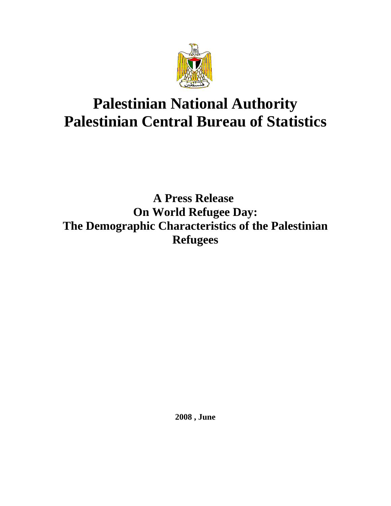

# **Palestinian National Authority Palestinian Central Bureau of Statistics**

# **A Press Release On World Refugee Day: The Demographic Characteristics of the Palestinian Refugees**

**2008 , June**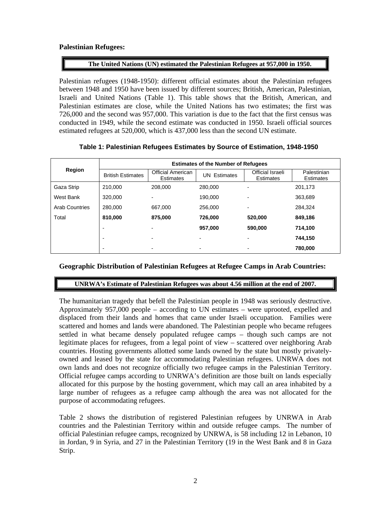# **Palestinian Refugees:**

# **The United Nations (UN) estimated the Palestinian Refugees at 957,000 in 1950.**

Palestinian refugees (1948-1950): different official estimates about the Palestinian refugees between 1948 and 1950 have been issued by different sources; British, American, Palestinian, Israeli and United Nations (Table 1). This table shows that the British, American, and Palestinian estimates are close, while the United Nations has two estimates; the first was 726,000 and the second was 957,000. This variation is due to the fact that the first census was conducted in 1949, while the second estimate was conducted in 1950. Israeli official sources estimated refugees at 520,000, which is 437,000 less than the second UN estimate.

# **Table 1: Palestinian Refugees Estimates by Source of Estimation, 1948-1950**

| Region                | <b>Estimates of the Number of Refugees</b> |                                              |                          |                                      |                                 |  |  |  |  |
|-----------------------|--------------------------------------------|----------------------------------------------|--------------------------|--------------------------------------|---------------------------------|--|--|--|--|
|                       | <b>British Estimates</b>                   | <b>Official American</b><br><b>Estimates</b> | <b>UN Estimates</b>      | Official Israeli<br><b>Estimates</b> | Palestinian<br><b>Estimates</b> |  |  |  |  |
| Gaza Strip            | 210.000                                    | 208.000                                      | 280.000                  | ۰                                    | 201,173                         |  |  |  |  |
| West Bank             | 320,000                                    | $\overline{\phantom{a}}$                     | 190.000                  | ۰                                    | 363,689                         |  |  |  |  |
| <b>Arab Countries</b> | 280,000                                    | 667,000                                      | 256,000                  | $\overline{\phantom{0}}$             | 284.324                         |  |  |  |  |
| Total                 | 810,000                                    | 875,000                                      | 726,000                  | 520,000                              | 849,186                         |  |  |  |  |
|                       | $\overline{\phantom{0}}$                   | $\blacksquare$                               | 957.000                  | 590,000                              | 714,100                         |  |  |  |  |
|                       | $\blacksquare$                             | -                                            | $\overline{\phantom{0}}$ | ۰                                    | 744.150                         |  |  |  |  |
|                       |                                            |                                              |                          |                                      | 780.000                         |  |  |  |  |

#### **Geographic Distribution of Palestinian Refugees at Refugee Camps in Arab Countries:**

#### **UNRWA's Estimate of Palestinian Refugees was about 4.56 million at the end of 2007.**

The humanitarian tragedy that befell the Palestinian people in 1948 was seriously destructive. Approximately 957,000 people – according to UN estimates – were uprooted, expelled and displaced from their lands and homes that came under Israeli occupation. Families were scattered and homes and lands were abandoned. The Palestinian people who became refugees settled in what became densely populated refugee camps – though such camps are not legitimate places for refugees, from a legal point of view – scattered over neighboring Arab countries. Hosting governments allotted some lands owned by the state but mostly privatelyowned and leased by the state for accommodating Palestinian refugees. UNRWA does not own lands and does not recognize officially two refugee camps in the Palestinian Territory. Official refugee camps according to UNRWA's definition are those built on lands especially allocated for this purpose by the hosting government, which may call an area inhabited by a large number of refugees as a refugee camp although the area was not allocated for the purpose of accommodating refugees.

Table 2 shows the distribution of registered Palestinian refugees by UNRWA in Arab countries and the Palestinian Territory within and outside refugee camps. The number of official Palestinian refugee camps, recognized by UNRWA, is 58 including 12 in Lebanon, 10 in Jordan, 9 in Syria, and 27 in the Palestinian Territory (19 in the West Bank and 8 in Gaza Strip.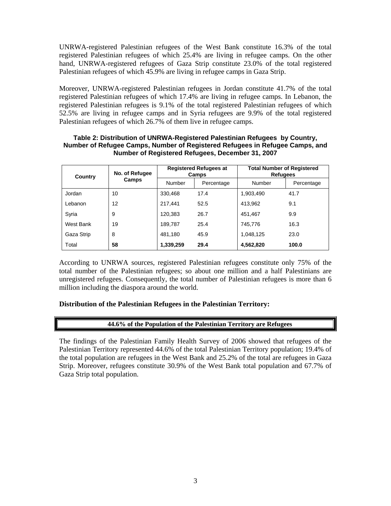UNRWA-registered Palestinian refugees of the West Bank constitute 16.3% of the total registered Palestinian refugees of which 25.4% are living in refugee camps. On the other hand, UNRWA-registered refugees of Gaza Strip constitute 23.0% of the total registered Palestinian refugees of which 45.9% are living in refugee camps in Gaza Strip.

Moreover, UNRWA-registered Palestinian refugees in Jordan constitute 41.7% of the total registered Palestinian refugees of which 17.4% are living in refugee camps. In Lebanon, the registered Palestinian refugees is 9.1% of the total registered Palestinian refugees of which 52.5% are living in refugee camps and in Syria refugees are 9.9% of the total registered Palestinian refugees of which 26.7% of them live in refugee camps.

| Country    | No. of Refugee<br>Camps |           | <b>Registered Refugees at</b><br>Camps | <b>Total Number of Registered</b><br><b>Refugees</b> |            |  |
|------------|-------------------------|-----------|----------------------------------------|------------------------------------------------------|------------|--|
|            |                         | Number    | Percentage                             | Number                                               | Percentage |  |
| Jordan     | 10                      | 330,468   | 17.4                                   | 1,903,490                                            | 41.7       |  |
| Lebanon    | 12                      | 217.441   | 52.5                                   | 413.962                                              | 9.1        |  |
| Syria      | 9                       | 120,383   | 26.7                                   | 451.467                                              | 9.9        |  |
| West Bank  | 19                      | 189,787   | 25.4                                   | 745,776                                              | 16.3       |  |
| Gaza Strip | 8                       | 481.180   | 45.9                                   | 1,048,125                                            | 23.0       |  |
| Total      | 58                      | 1,339,259 | 29.4                                   | 4,562,820                                            | 100.0      |  |

#### **Table 2: Distribution of UNRWA-Registered Palestinian Refugees by Country, Number of Refugee Camps, Number of Registered Refugees in Refugee Camps, and Number of Registered Refugees, December 31, 2007**

According to UNRWA sources, registered Palestinian refugees constitute only 75% of the total number of the Palestinian refugees; so about one million and a half Palestinians are unregistered refugees. Consequently, the total number of Palestinian refugees is more than 6 million including the diaspora around the world.

#### **Distribution of the Palestinian Refugees in the Palestinian Territory:**

#### **44.6% of the Population of the Palestinian Territory are Refugees**

The findings of the Palestinian Family Health Survey of 2006 showed that refugees of the Palestinian Territory represented 44.6% of the total Palestinian Territory population; 19.4% of the total population are refugees in the West Bank and 25.2% of the total are refugees in Gaza Strip. Moreover, refugees constitute 30.9% of the West Bank total population and 67.7% of Gaza Strip total population.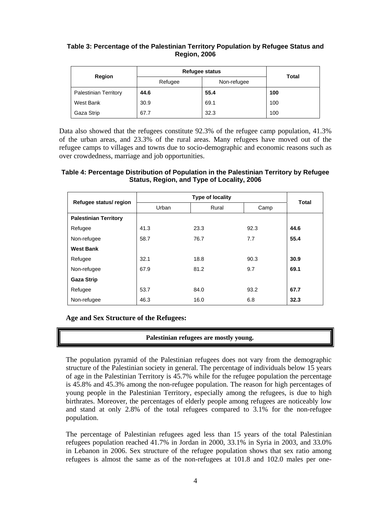# **Table 3: Percentage of the Palestinian Territory Population by Refugee Status and Region, 2006**

|                              | <b>Refugee status</b> | <b>Total</b> |     |  |
|------------------------------|-----------------------|--------------|-----|--|
| Region                       | Refugee               | Non-refugee  |     |  |
| <b>Palestinian Territory</b> | 44.6                  | 55.4         | 100 |  |
| West Bank                    | 30.9                  | 69.1         | 100 |  |
| Gaza Strip                   | 67.7                  | 32.3         | 100 |  |

Data also showed that the refugees constitute 92.3% of the refugee camp population, 41.3% of the urban areas, and 23.3% of the rural areas. Many refugees have moved out of the refugee camps to villages and towns due to socio-demographic and economic reasons such as over crowdedness, marriage and job opportunities.

# **Table 4: Percentage Distribution of Population in the Palestinian Territory by Refugee Status, Region, and Type of Locality, 2006**

| Refugee status/ region       |       | <b>Total</b> |      |      |  |
|------------------------------|-------|--------------|------|------|--|
|                              | Urban | Rural        | Camp |      |  |
| <b>Palestinian Territory</b> |       |              |      |      |  |
| Refugee                      | 41.3  | 23.3         | 92.3 | 44.6 |  |
| Non-refugee                  | 58.7  | 76.7         | 7.7  | 55.4 |  |
| <b>West Bank</b>             |       |              |      |      |  |
| Refugee                      | 32.1  | 18.8         | 90.3 | 30.9 |  |
| Non-refugee                  | 67.9  | 81.2         | 9.7  | 69.1 |  |
| <b>Gaza Strip</b>            |       |              |      |      |  |
| Refugee                      | 53.7  | 84.0         | 93.2 | 67.7 |  |
| Non-refugee                  | 46.3  | 16.0         | 6.8  | 32.3 |  |

# **Age and Sex Structure of the Refugees:**

# **Palestinian refugees are mostly young.**

The population pyramid of the Palestinian refugees does not vary from the demographic structure of the Palestinian society in general. The percentage of individuals below 15 years of age in the Palestinian Territory is 45.7% while for the refugee population the percentage is 45.8% and 45.3% among the non-refugee population. The reason for high percentages of young people in the Palestinian Territory, especially among the refugees, is due to high birthrates. Moreover, the percentages of elderly people among refugees are noticeably low and stand at only 2.8% of the total refugees compared to 3.1% for the non-refugee population.

The percentage of Palestinian refugees aged less than 15 years of the total Palestinian refugees population reached 41.7% in Jordan in 2000, 33.1% in Syria in 2003, and 33.0% in Lebanon in 2006. Sex structure of the refugee population shows that sex ratio among refugees is almost the same as of the non-refugees at 101.8 and 102.0 males per one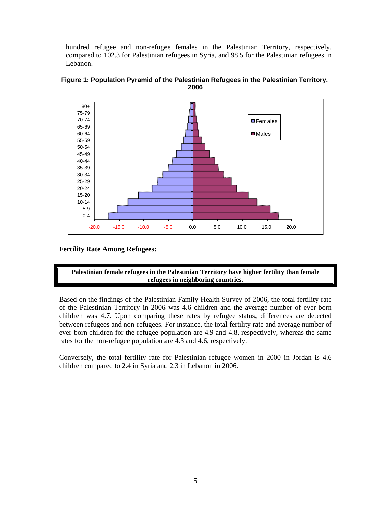hundred refugee and non-refugee females in the Palestinian Territory, respectively, compared to 102.3 for Palestinian refugees in Syria, and 98.5 for the Palestinian refugees in Lebanon.





#### **Fertility Rate Among Refugees:**



Based on the findings of the Palestinian Family Health Survey of 2006, the total fertility rate of the Palestinian Territory in 2006 was 4.6 children and the average number of ever-born children was 4.7. Upon comparing these rates by refugee status, differences are detected between refugees and non-refugees. For instance, the total fertility rate and average number of ever-born children for the refugee population are 4.9 and 4.8, respectively, whereas the same rates for the non-refugee population are 4.3 and 4.6, respectively.

Conversely, the total fertility rate for Palestinian refugee women in 2000 in Jordan is 4.6 children compared to 2.4 in Syria and 2.3 in Lebanon in 2006.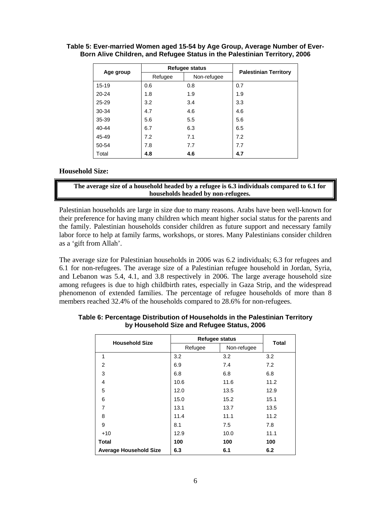|           |         | Refugee status | <b>Palestinian Territory</b> |  |
|-----------|---------|----------------|------------------------------|--|
| Age group | Refugee | Non-refugee    |                              |  |
| $15 - 19$ | 0.6     | 0.8            | 0.7                          |  |
| $20 - 24$ | 1.8     | 1.9            | 1.9                          |  |
| 25-29     | 3.2     | 3.4            | 3.3                          |  |
| 30-34     | 4.7     | 4.6            | 4.6                          |  |
| 35-39     | 5.6     | 5.5            | 5.6                          |  |
| 40-44     | 6.7     | 6.3            | 6.5                          |  |
| 45-49     | 7.2     | 7.1            | 7.2                          |  |
| 50-54     | 7.8     | 7.7            | 7.7                          |  |
| Total     | 4.8     | 4.6            | 4.7                          |  |

#### **Table 5: Ever-married Women aged 15-54 by Age Group, Average Number of Ever-Born Alive Children, and Refugee Status in the Palestinian Territory, 2006**

#### **Household Size:**

**The average size of a household headed by a refugee is 6.3 individuals compared to 6.1 for households headed by non-refugees.** 

Palestinian households are large in size due to many reasons. Arabs have been well-known for their preference for having many children which meant higher social status for the parents and the family. Palestinian households consider children as future support and necessary family labor force to help at family farms, workshops, or stores. Many Palestinians consider children as a 'gift from Allah'.

The average size for Palestinian households in 2006 was 6.2 individuals; 6.3 for refugees and 6.1 for non-refugees. The average size of a Palestinian refugee household in Jordan, Syria, and Lebanon was 5.4, 4.1, and 3.8 respectively in 2006. The large average household size among refugees is due to high childbirth rates, especially in Gaza Strip, and the widespread phenomenon of extended families. The percentage of refugee households of more than 8 members reached 32.4% of the households compared to 28.6% for non-refugees.

| <b>Household Size</b>         | <b>Refugee status</b> | <b>Total</b> |      |  |
|-------------------------------|-----------------------|--------------|------|--|
|                               | Refugee               | Non-refugee  |      |  |
| 1                             | 3.2                   | 3.2          | 3.2  |  |
| 2                             | 6.9                   | 7.4          | 7.2  |  |
| 3                             | 6.8                   | 6.8          | 6.8  |  |
| 4                             | 10.6                  | 11.6         | 11.2 |  |
| 5                             | 12.0                  | 13.5         | 12.9 |  |
| 6                             | 15.0                  | 15.2         | 15.1 |  |
| 7                             | 13.1                  | 13.7         | 13.5 |  |
| 8                             | 11.4                  | 11.1         | 11.2 |  |
| 9                             | 8.1                   | 7.5          | 7.8  |  |
| $+10$                         | 12.9                  | 10.0         | 11.1 |  |
| <b>Total</b>                  | 100                   | 100          | 100  |  |
| <b>Average Household Size</b> | 6.3                   | 6.1          | 6.2  |  |

**Table 6: Percentage Distribution of Households in the Palestinian Territory by Household Size and Refugee Status, 2006**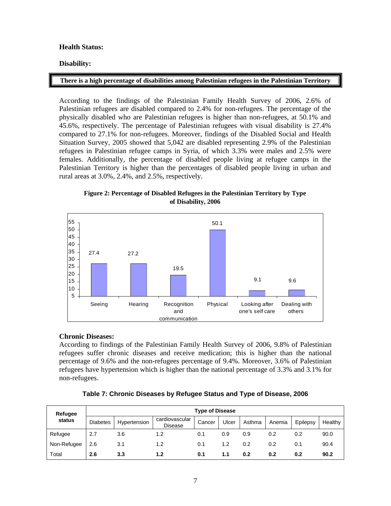# **Health Status:**

# **Disability:**

#### **There is a high percentage of disabilities among Palestinian refugees in the Palestinian Territory**

According to the findings of the Palestinian Family Health Survey of 2006, 2.6% of Palestinian refugees are disabled compared to 2.4% for non-refugees. The percentage of the physically disabled who are Palestinian refugees is higher than non-refugees, at 50.1% and 45.6%, respectively. The percentage of Palestinian refugees with visual disability is 27.4% compared to 27.1% for non-refugees. Moreover, findings of the Disabled Social and Health Situation Survey, 2005 showed that 5,042 are disabled representing 2.9% of the Palestinian refugees in Palestinian refugee camps in Syria, of which 3.3% were males and 2.5% were females. Additionally, the percentage of disabled people living at refugee camps in the Palestinian Territory is higher than the percentages of disabled people living in urban and rural areas at 3.0%, 2.4%, and 2.5%, respectively.

**Figure 2: Percentage of Disabled Refugees in the Palestinian Territory by Type of Disability, 2006** 



#### **Chronic Diseases:**

According to findings of the Palestinian Family Health Survey of 2006, 9.8% of Palestinian refugees suffer chronic diseases and receive medication; this is higher than the national percentage of 9.6% and the non-refugees percentage of 9.4%. Moreover, 3.6% of Palestinian refugees have hypertension which is higher than the national percentage of 3.3% and 3.1% for non-refugees.

| Table 7: Chronic Diseases by Refugee Status and Type of Disease, 2006 |
|-----------------------------------------------------------------------|
|                                                                       |

| Refugee     | <b>Type of Disease</b> |              |                                  |        |       |        |        |          |         |
|-------------|------------------------|--------------|----------------------------------|--------|-------|--------|--------|----------|---------|
| status      | <b>Diabetes</b>        | Hypertension | cardiovascular<br><b>Disease</b> | Cancer | Ulcer | Asthma | Anemia | Epilepsy | Healthy |
| Refugee     | 2.7                    | 3.6          | 1.2                              | 0.1    | 0.9   | 0.9    | 0.2    | 0.2      | 90.0    |
| Non-Refugee | 2.6                    | 3.1          | 1.2                              | 0.1    | 1.2   | 0.2    | 0.2    | 0.1      | 90.4    |
| Total       | 2.6                    | 3.3          | 1.2                              | 0.1    | 1.1   | 0.2    | 0.2    | 0.2      | 90.2    |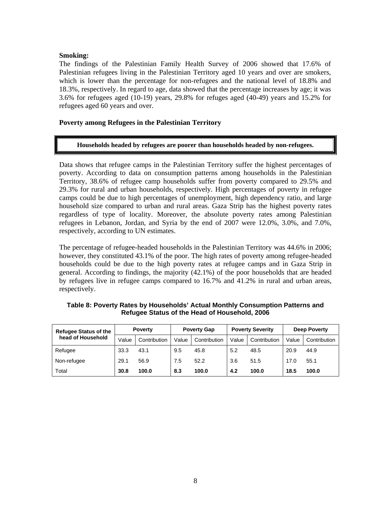#### **Smoking:**

The findings of the Palestinian Family Health Survey of 2006 showed that 17.6% of Palestinian refugees living in the Palestinian Territory aged 10 years and over are smokers, which is lower than the percentage for non-refugees and the national level of 18.8% and 18.3%, respectively. In regard to age, data showed that the percentage increases by age; it was 3.6% for refugees aged (10-19) years, 29.8% for refuges aged (40-49) years and 15.2% for refugees aged 60 years and over.

## **Poverty among Refugees in the Palestinian Territory**

#### **Households headed by refugees are poorer than households headed by non-refugees.**

Data shows that refugee camps in the Palestinian Territory suffer the highest percentages of poverty. According to data on consumption patterns among households in the Palestinian Territory, 38.6% of refugee camp households suffer from poverty compared to 29.5% and 29.3% for rural and urban households, respectively. High percentages of poverty in refugee camps could be due to high percentages of unemployment, high dependency ratio, and large household size compared to urban and rural areas. Gaza Strip has the highest poverty rates regardless of type of locality. Moreover, the absolute poverty rates among Palestinian refugees in Lebanon, Jordan, and Syria by the end of 2007 were 12.0%, 3.0%, and 7.0%, respectively, according to UN estimates.

The percentage of refugee-headed households in the Palestinian Territory was 44.6% in 2006; however, they constituted 43.1% of the poor. The high rates of poverty among refugee-headed households could be due to the high poverty rates at refugee camps and in Gaza Strip in general. According to findings, the majority (42.1%) of the poor households that are headed by refugees live in refugee camps compared to 16.7% and 41.2% in rural and urban areas, respectively.

| <b>Refugee Status of the</b> | <b>Poverty</b> |              | <b>Poverty Gap</b> |              | <b>Poverty Severity</b> |              | <b>Deep Poverty</b> |              |
|------------------------------|----------------|--------------|--------------------|--------------|-------------------------|--------------|---------------------|--------------|
| head of Household            | Value          | Contribution | Value              | Contribution | Value                   | Contribution | Value               | Contribution |
| Refugee                      | 33.3           | 43.1         | 9.5                | 45.8         | 5.2                     | 48.5         | 20.9                | 44.9         |
| Non-refugee                  | 29.1           | 56.9         | 7.5                | 52.2         | 3.6                     | 51.5         | 17.0                | 55.1         |
| Total                        | 30.8           | 100.0        | 8.3                | 100.0        | 4.2                     | 100.0        | 18.5                | 100.0        |

**Table 8: Poverty Rates by Households' Actual Monthly Consumption Patterns and Refugee Status of the Head of Household, 2006**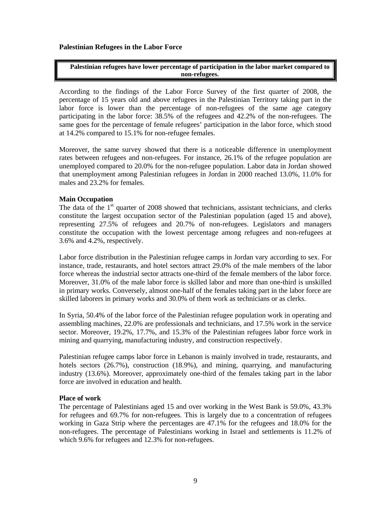**Palestinian Refugees in the Labor Force** 

**Palestinian refugees have lower percentage of participation in the labor market compared to non-refugees.** 

According to the findings of the Labor Force Survey of the first quarter of 2008, the percentage of 15 years old and above refugees in the Palestinian Territory taking part in the labor force is lower than the percentage of non-refugees of the same age category participating in the labor force: 38.5% of the refugees and 42.2% of the non-refugees. The same goes for the percentage of female refugees' participation in the labor force, which stood at 14.2% compared to 15.1% for non-refugee females.

Moreover, the same survey showed that there is a noticeable difference in unemployment rates between refugees and non-refugees. For instance, 26.1% of the refugee population are unemployed compared to 20.0% for the non-refugee population. Labor data in Jordan showed that unemployment among Palestinian refugees in Jordan in 2000 reached 13.0%, 11.0% for males and 23.2% for females.

# **Main Occupation**

The data of the  $1<sup>st</sup>$  quarter of 2008 showed that technicians, assistant technicians, and clerks constitute the largest occupation sector of the Palestinian population (aged 15 and above), representing 27.5% of refugees and 20.7% of non-refugees. Legislators and managers constitute the occupation with the lowest percentage among refugees and non-refugees at 3.6% and 4.2%, respectively.

Labor force distribution in the Palestinian refugee camps in Jordan vary according to sex. For instance, trade, restaurants, and hotel sectors attract 29.0% of the male members of the labor force whereas the industrial sector attracts one-third of the female members of the labor force. Moreover, 31.0% of the male labor force is skilled labor and more than one-third is unskilled in primary works. Conversely, almost one-half of the females taking part in the labor force are skilled laborers in primary works and 30.0% of them work as technicians or as clerks.

In Syria, 50.4% of the labor force of the Palestinian refugee population work in operating and assembling machines, 22.0% are professionals and technicians, and 17.5% work in the service sector. Moreover, 19.2%, 17.7%, and 15.3% of the Palestinian refugees labor force work in mining and quarrying, manufacturing industry, and construction respectively.

Palestinian refugee camps labor force in Lebanon is mainly involved in trade, restaurants, and hotels sectors (26.7%), construction (18.9%), and mining, quarrying, and manufacturing industry (13.6%). Moreover, approximately one-third of the females taking part in the labor force are involved in education and health.

#### **Place of work**

The percentage of Palestinians aged 15 and over working in the West Bank is 59.0%, 43.3% for refugees and 69.7% for non-refugees. This is largely due to a concentration of refugees working in Gaza Strip where the percentages are 47.1% for the refugees and 18.0% for the non-refugees. The percentage of Palestinians working in Israel and settlements is 11.2% of which 9.6% for refugees and 12.3% for non-refugees.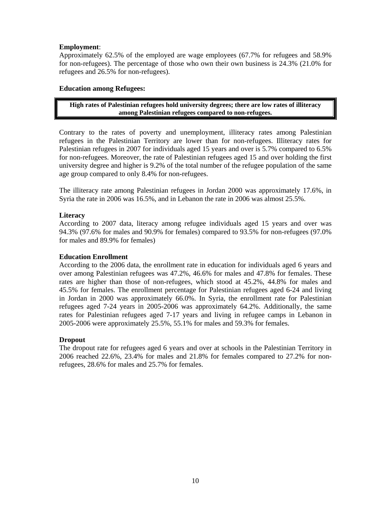# **Employment**:

Approximately 62.5% of the employed are wage employees (67.7% for refugees and 58.9% for non-refugees). The percentage of those who own their own business is 24.3% (21.0% for refugees and 26.5% for non-refugees).

# **Education among Refugees:**

# **High rates of Palestinian refugees hold university degrees; there are low rates of illiteracy among Palestinian refugees compared to non-refugees.**

Contrary to the rates of poverty and unemployment, illiteracy rates among Palestinian refugees in the Palestinian Territory are lower than for non-refugees. Illiteracy rates for Palestinian refugees in 2007 for individuals aged 15 years and over is 5.7% compared to 6.5% for non-refugees. Moreover, the rate of Palestinian refugees aged 15 and over holding the first university degree and higher is 9.2% of the total number of the refugee population of the same age group compared to only 8.4% for non-refugees.

The illiteracy rate among Palestinian refugees in Jordan 2000 was approximately 17.6%, in Syria the rate in 2006 was 16.5%, and in Lebanon the rate in 2006 was almost 25.5%.

# **Literacy**

According to 2007 data, literacy among refugee individuals aged 15 years and over was 94.3% (97.6% for males and 90.9% for females) compared to 93.5% for non-refugees (97.0% for males and 89.9% for females)

# **Education Enrollment**

According to the 2006 data, the enrollment rate in education for individuals aged 6 years and over among Palestinian refugees was 47.2%, 46.6% for males and 47.8% for females. These rates are higher than those of non-refugees, which stood at 45.2%, 44.8% for males and 45.5% for females. The enrollment percentage for Palestinian refugees aged 6-24 and living in Jordan in 2000 was approximately 66.0%. In Syria, the enrollment rate for Palestinian refugees aged 7-24 years in 2005-2006 was approximately 64.2%. Additionally, the same rates for Palestinian refugees aged 7-17 years and living in refugee camps in Lebanon in 2005-2006 were approximately 25.5%, 55.1% for males and 59.3% for females.

#### **Dropout**

The dropout rate for refugees aged 6 years and over at schools in the Palestinian Territory in 2006 reached 22.6%, 23.4% for males and 21.8% for females compared to 27.2% for nonrefugees, 28.6% for males and 25.7% for females.